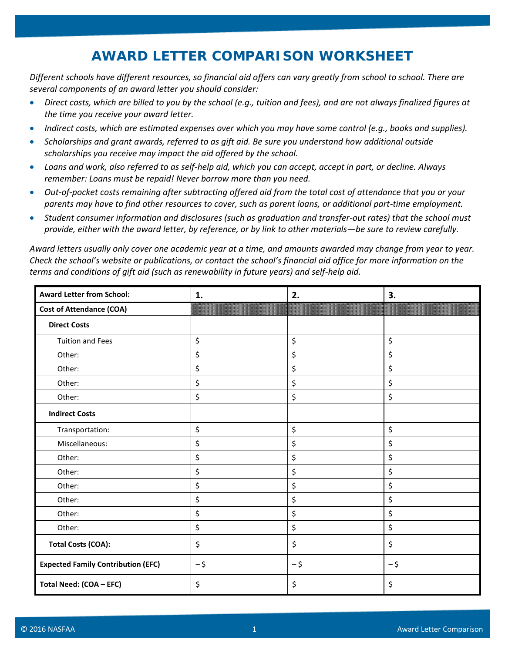## **AWARD LETTER COMPARISON WORKSHEET**

*Different schools have different resources, so financial aid offers can vary greatly from school to school. There are several components of an award letter you should consider:*

- *Direct costs, which are billed to you by the school (e.g., tuition and fees), and are not always finalized figures at the time you receive your award letter.*
- *Indirect costs, which are estimated expenses over which you may have some control (e.g., books and supplies).*
- *Scholarships and grant awards, referred to as gift aid. Be sure you understand how additional outside scholarships you receive may impact the aid offered by the school.*
- *Loans and work, also referred to as self-help aid, which you can accept, accept in part, or decline. Always remember: Loans must be repaid! Never borrow more than you need.*
- *Out-of-pocket costs remaining after subtracting offered aid from the total cost of attendance that you or your parents may have to find other resources to cover, such as parent loans, or additional part-time employment.*
- *Student consumer information and disclosures (such as graduation and transfer-out rates) that the school must provide, either with the award letter, by reference, or by link to other materials—be sure to review carefully.*

*Award letters usually only cover one academic year at a time, and amounts awarded may change from year to year. Check the school's website or publications, or contact the school's financial aid office for more information on the terms and conditions of gift aid (such as renewability in future years) and self-help aid.*

| <b>Award Letter from School:</b>          | 1.   | 2.   | 3.   |
|-------------------------------------------|------|------|------|
| <b>Cost of Attendance (COA)</b>           |      |      |      |
| <b>Direct Costs</b>                       |      |      |      |
| <b>Tuition and Fees</b>                   | \$   | \$   | \$   |
| Other:                                    | \$   | \$   | \$   |
| Other:                                    | \$   | \$   | \$   |
| Other:                                    | \$   | \$   | \$   |
| Other:                                    | \$   | \$   | \$   |
| <b>Indirect Costs</b>                     |      |      |      |
| Transportation:                           | \$   | \$   | \$   |
| Miscellaneous:                            | \$   | \$   | \$   |
| Other:                                    | \$   | \$   | \$   |
| Other:                                    | \$   | \$   | \$   |
| Other:                                    | \$   | \$   | \$   |
| Other:                                    | \$   | \$   | \$   |
| Other:                                    | \$   | \$   | \$   |
| Other:                                    | \$   | \$   | \$   |
| <b>Total Costs (COA):</b>                 | \$   | \$   | \$   |
| <b>Expected Family Contribution (EFC)</b> | $-5$ | $-5$ | $-5$ |
| Total Need: (COA - EFC)                   | \$   | \$   | \$   |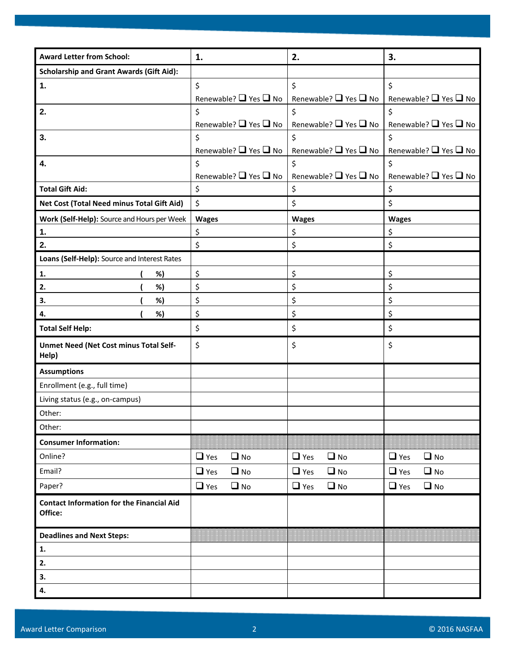## **Award Letter from School: 1. 2. 3. Scholarship and Grant Awards (Gift Aid): 1.**  $\left| \xi \right|$ Renewable? ■ Yes ■ No \$ Renewable?  $\Box$  Yes  $\Box$  No \$ Renewable? **Q** Yes **Q** No **2.**  $\vert \xi \rangle$ Renewable?  $\Box$  Yes  $\Box$  No  $\zeta$ Renewable?  $\Box$  Yes  $\Box$  No  $\zeta$ Renewable? ■ Yes ■ No **3.**  $|\xi|$ Renewable? ■ Yes ■ No  $\zeta$ Renewable? ■ Yes ■ No  $\zeta$ Renewable?  $\Box$  Yes  $\Box$  No **4.**  $\left| \xi \right|$ Renewable? ■ Yes ■ No  $\zeta$ Renewable? ■ Yes ■ No  $\mathsf{\hat{S}}$ Renewable? ■ Yes ■ No **Total Gift Aid:**  $\begin{vmatrix} 5 & 1 \\ 5 & 1 \end{vmatrix}$ **Net Cost (Total Need minus Total Gift Aid)** \$ \$ \$ **Work (Self-Help):** Source and Hours per Week | Wages | Wages | Wages | Wages | Wages **1.** \$ \$ \$ **2.**  $\begin{vmatrix} 5 & 15 \\ 5 & 15 \end{vmatrix}$  is the set of  $\begin{vmatrix} 5 & 15 \\ 5 & 15 \end{vmatrix}$  is the set of  $\begin{vmatrix} 5 & 15 \\ 5 & 15 \end{vmatrix}$ **Loans (Self-Help):** Source and Interest Rates **1.** ( %)  $\begin{matrix} \vert & \zeta \end{matrix}$   $\begin{matrix} \zeta & \zeta \end{matrix}$ **2.** ( %)  $|\;$  \$  $|$  \$  $|$  \$ \$ **3.** ( %)  $|\;$  \$  $|$  \$  $|$  \$ \$ **4.** ( %)  $|\; \mathsf{S} \;|\;$  ( %)  $|\; \mathsf{S} \;|\;$ **Total Self Help:**  $\begin{array}{c|c|c|c|c|c} \hline \text{5} & \text{5} & \text{5} \end{array}$ **Unmet Need (Net Cost minus Total Self-Help)** \$ \$ \$ **Assumptions** Enrollment (e.g., full time) Living status (e.g., on-campus) Other: Other: **Consumer Information:** Online? Yes No Yes No Yes No Email? Yes No Yes No Yes No Paper? Yes No Yes No Yes No **Contact Information for the Financial Aid Office: Deadlines and Next Steps: 1. 2. 3. 4.**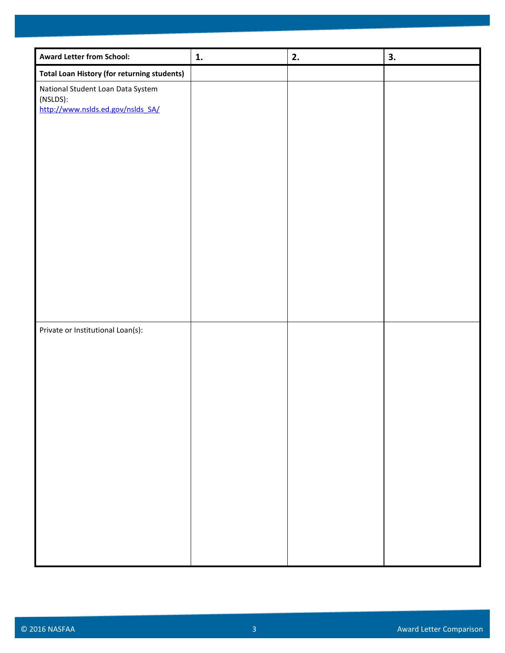| <b>Award Letter from School:</b>                                                   | 1. | 2. | 3. |
|------------------------------------------------------------------------------------|----|----|----|
| <b>Total Loan History (for returning students)</b>                                 |    |    |    |
| National Student Loan Data System<br>(NSLDS):<br>http://www.nslds.ed.gov/nslds SA/ |    |    |    |
|                                                                                    |    |    |    |
|                                                                                    |    |    |    |
| Private or Institutional Loan(s):                                                  |    |    |    |
|                                                                                    |    |    |    |
|                                                                                    |    |    |    |
|                                                                                    |    |    |    |
|                                                                                    |    |    |    |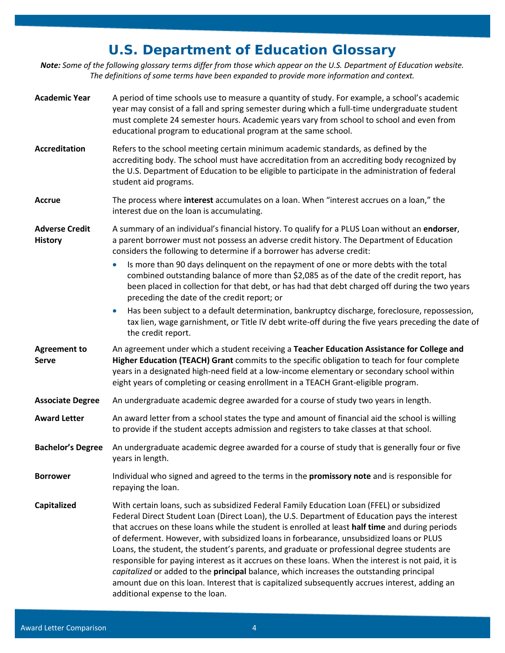## **U.S. Department of Education Glossary**

*Note: Some of the following glossary terms differ from those which appear on the U.S. Department of Education website. The definitions of some terms have been expanded to provide more information and context.*

| <b>Academic Year</b>                    | A period of time schools use to measure a quantity of study. For example, a school's academic<br>year may consist of a fall and spring semester during which a full-time undergraduate student<br>must complete 24 semester hours. Academic years vary from school to school and even from<br>educational program to educational program at the same school.                                                                                                                                                                                                                                                                                                                                                                                                                                                                   |
|-----------------------------------------|--------------------------------------------------------------------------------------------------------------------------------------------------------------------------------------------------------------------------------------------------------------------------------------------------------------------------------------------------------------------------------------------------------------------------------------------------------------------------------------------------------------------------------------------------------------------------------------------------------------------------------------------------------------------------------------------------------------------------------------------------------------------------------------------------------------------------------|
| <b>Accreditation</b>                    | Refers to the school meeting certain minimum academic standards, as defined by the<br>accrediting body. The school must have accreditation from an accrediting body recognized by<br>the U.S. Department of Education to be eligible to participate in the administration of federal<br>student aid programs.                                                                                                                                                                                                                                                                                                                                                                                                                                                                                                                  |
| Accrue                                  | The process where interest accumulates on a loan. When "interest accrues on a loan," the<br>interest due on the loan is accumulating.                                                                                                                                                                                                                                                                                                                                                                                                                                                                                                                                                                                                                                                                                          |
| <b>Adverse Credit</b><br><b>History</b> | A summary of an individual's financial history. To qualify for a PLUS Loan without an endorser,<br>a parent borrower must not possess an adverse credit history. The Department of Education<br>considers the following to determine if a borrower has adverse credit:                                                                                                                                                                                                                                                                                                                                                                                                                                                                                                                                                         |
|                                         | Is more than 90 days delinquent on the repayment of one or more debts with the total<br>combined outstanding balance of more than \$2,085 as of the date of the credit report, has<br>been placed in collection for that debt, or has had that debt charged off during the two years<br>preceding the date of the credit report; or                                                                                                                                                                                                                                                                                                                                                                                                                                                                                            |
|                                         | Has been subject to a default determination, bankruptcy discharge, foreclosure, repossession,<br>$\bullet$<br>tax lien, wage garnishment, or Title IV debt write-off during the five years preceding the date of<br>the credit report.                                                                                                                                                                                                                                                                                                                                                                                                                                                                                                                                                                                         |
| <b>Agreement to</b><br><b>Serve</b>     | An agreement under which a student receiving a Teacher Education Assistance for College and<br>Higher Education (TEACH) Grant commits to the specific obligation to teach for four complete<br>years in a designated high-need field at a low-income elementary or secondary school within<br>eight years of completing or ceasing enrollment in a TEACH Grant-eligible program.                                                                                                                                                                                                                                                                                                                                                                                                                                               |
| <b>Associate Degree</b>                 | An undergraduate academic degree awarded for a course of study two years in length.                                                                                                                                                                                                                                                                                                                                                                                                                                                                                                                                                                                                                                                                                                                                            |
| <b>Award Letter</b>                     | An award letter from a school states the type and amount of financial aid the school is willing<br>to provide if the student accepts admission and registers to take classes at that school.                                                                                                                                                                                                                                                                                                                                                                                                                                                                                                                                                                                                                                   |
| <b>Bachelor's Degree</b>                | An undergraduate academic degree awarded for a course of study that is generally four or five<br>years in length.                                                                                                                                                                                                                                                                                                                                                                                                                                                                                                                                                                                                                                                                                                              |
| <b>Borrower</b>                         | Individual who signed and agreed to the terms in the promissory note and is responsible for<br>repaying the loan.                                                                                                                                                                                                                                                                                                                                                                                                                                                                                                                                                                                                                                                                                                              |
| Capitalized                             | With certain loans, such as subsidized Federal Family Education Loan (FFEL) or subsidized<br>Federal Direct Student Loan (Direct Loan), the U.S. Department of Education pays the interest<br>that accrues on these loans while the student is enrolled at least half time and during periods<br>of deferment. However, with subsidized loans in forbearance, unsubsidized loans or PLUS<br>Loans, the student, the student's parents, and graduate or professional degree students are<br>responsible for paying interest as it accrues on these loans. When the interest is not paid, it is<br>capitalized or added to the principal balance, which increases the outstanding principal<br>amount due on this loan. Interest that is capitalized subsequently accrues interest, adding an<br>additional expense to the loan. |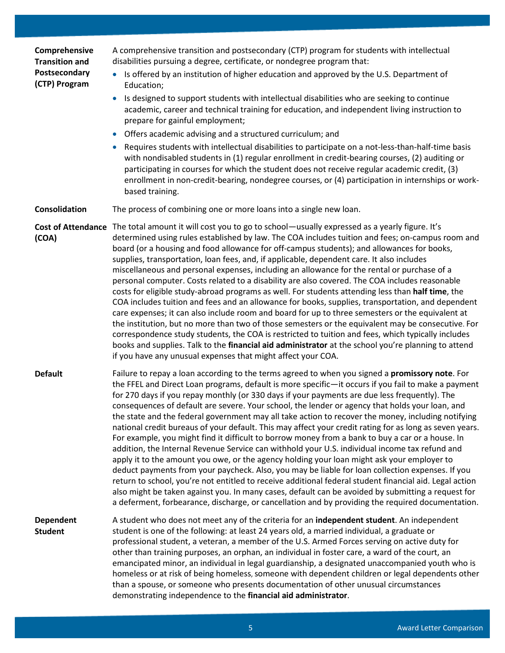| Comprehensive<br><b>Transition and</b> | A comprehensive transition and postsecondary (CTP) program for students with intellectual<br>disabilities pursuing a degree, certificate, or nondegree program that:                                                                                                                                                                                                                                                                                                                                                                                                                                                                                                                                                                                                                                                                                                                                                                                                                                                                                                                                                                                                                                                                                                                                                                                      |
|----------------------------------------|-----------------------------------------------------------------------------------------------------------------------------------------------------------------------------------------------------------------------------------------------------------------------------------------------------------------------------------------------------------------------------------------------------------------------------------------------------------------------------------------------------------------------------------------------------------------------------------------------------------------------------------------------------------------------------------------------------------------------------------------------------------------------------------------------------------------------------------------------------------------------------------------------------------------------------------------------------------------------------------------------------------------------------------------------------------------------------------------------------------------------------------------------------------------------------------------------------------------------------------------------------------------------------------------------------------------------------------------------------------|
| Postsecondary<br>(CTP) Program         | Is offered by an institution of higher education and approved by the U.S. Department of<br>Education;                                                                                                                                                                                                                                                                                                                                                                                                                                                                                                                                                                                                                                                                                                                                                                                                                                                                                                                                                                                                                                                                                                                                                                                                                                                     |
|                                        | Is designed to support students with intellectual disabilities who are seeking to continue<br>academic, career and technical training for education, and independent living instruction to<br>prepare for gainful employment;                                                                                                                                                                                                                                                                                                                                                                                                                                                                                                                                                                                                                                                                                                                                                                                                                                                                                                                                                                                                                                                                                                                             |
|                                        | Offers academic advising and a structured curriculum; and<br>$\bullet$                                                                                                                                                                                                                                                                                                                                                                                                                                                                                                                                                                                                                                                                                                                                                                                                                                                                                                                                                                                                                                                                                                                                                                                                                                                                                    |
|                                        | Requires students with intellectual disabilities to participate on a not-less-than-half-time basis<br>with nondisabled students in (1) regular enrollment in credit-bearing courses, (2) auditing or<br>participating in courses for which the student does not receive regular academic credit, (3)<br>enrollment in non-credit-bearing, nondegree courses, or (4) participation in internships or work-<br>based training.                                                                                                                                                                                                                                                                                                                                                                                                                                                                                                                                                                                                                                                                                                                                                                                                                                                                                                                              |
| Consolidation                          | The process of combining one or more loans into a single new loan.                                                                                                                                                                                                                                                                                                                                                                                                                                                                                                                                                                                                                                                                                                                                                                                                                                                                                                                                                                                                                                                                                                                                                                                                                                                                                        |
| <b>Cost of Attendance</b><br>(COA)     | The total amount it will cost you to go to school—usually expressed as a yearly figure. It's<br>determined using rules established by law. The COA includes tuition and fees; on-campus room and<br>board (or a housing and food allowance for off-campus students); and allowances for books,<br>supplies, transportation, loan fees, and, if applicable, dependent care. It also includes<br>miscellaneous and personal expenses, including an allowance for the rental or purchase of a<br>personal computer. Costs related to a disability are also covered. The COA includes reasonable<br>costs for eligible study-abroad programs as well. For students attending less than half time, the<br>COA includes tuition and fees and an allowance for books, supplies, transportation, and dependent<br>care expenses; it can also include room and board for up to three semesters or the equivalent at<br>the institution, but no more than two of those semesters or the equivalent may be consecutive. For<br>correspondence study students, the COA is restricted to tuition and fees, which typically includes<br>books and supplies. Talk to the financial aid administrator at the school you're planning to attend<br>if you have any unusual expenses that might affect your COA.                                                             |
| <b>Default</b>                         | Failure to repay a loan according to the terms agreed to when you signed a promissory note. For<br>the FFEL and Direct Loan programs, default is more specific-it occurs if you fail to make a payment<br>for 270 days if you repay monthly (or 330 days if your payments are due less frequently). The<br>consequences of default are severe. Your school, the lender or agency that holds your loan, and<br>the state and the federal government may all take action to recover the money, including notifying<br>national credit bureaus of your default. This may affect your credit rating for as long as seven years.<br>For example, you might find it difficult to borrow money from a bank to buy a car or a house. In<br>addition, the Internal Revenue Service can withhold your U.S. individual income tax refund and<br>apply it to the amount you owe, or the agency holding your loan might ask your employer to<br>deduct payments from your paycheck. Also, you may be liable for loan collection expenses. If you<br>return to school, you're not entitled to receive additional federal student financial aid. Legal action<br>also might be taken against you. In many cases, default can be avoided by submitting a request for<br>a deferment, forbearance, discharge, or cancellation and by providing the required documentation. |
| <b>Dependent</b><br><b>Student</b>     | A student who does not meet any of the criteria for an independent student. An independent<br>student is one of the following: at least 24 years old, a married individual, a graduate or<br>professional student, a veteran, a member of the U.S. Armed Forces serving on active duty for<br>other than training purposes, an orphan, an individual in foster care, a ward of the court, an<br>emancipated minor, an individual in legal guardianship, a designated unaccompanied youth who is<br>homeless or at risk of being homeless, someone with dependent children or legal dependents other<br>than a spouse, or someone who presents documentation of other unusual circumstances<br>demonstrating independence to the financial aid administrator.                                                                                                                                                                                                                                                                                                                                                                                                                                                                                                                                                                                              |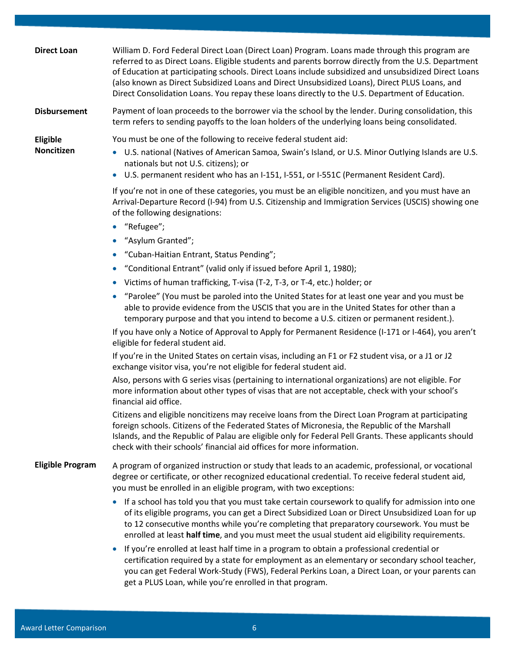| <b>Direct Loan</b>      | William D. Ford Federal Direct Loan (Direct Loan) Program. Loans made through this program are<br>referred to as Direct Loans. Eligible students and parents borrow directly from the U.S. Department<br>of Education at participating schools. Direct Loans include subsidized and unsubsidized Direct Loans<br>(also known as Direct Subsidized Loans and Direct Unsubsidized Loans), Direct PLUS Loans, and<br>Direct Consolidation Loans. You repay these loans directly to the U.S. Department of Education. |
|-------------------------|-------------------------------------------------------------------------------------------------------------------------------------------------------------------------------------------------------------------------------------------------------------------------------------------------------------------------------------------------------------------------------------------------------------------------------------------------------------------------------------------------------------------|
| <b>Disbursement</b>     | Payment of loan proceeds to the borrower via the school by the lender. During consolidation, this<br>term refers to sending payoffs to the loan holders of the underlying loans being consolidated.                                                                                                                                                                                                                                                                                                               |
| Eligible<br>Noncitizen  | You must be one of the following to receive federal student aid:<br>U.S. national (Natives of American Samoa, Swain's Island, or U.S. Minor Outlying Islands are U.S.<br>nationals but not U.S. citizens); or<br>U.S. permanent resident who has an I-151, I-551, or I-551C (Permanent Resident Card).<br>$\bullet$                                                                                                                                                                                               |
|                         | If you're not in one of these categories, you must be an eligible noncitizen, and you must have an<br>Arrival-Departure Record (I-94) from U.S. Citizenship and Immigration Services (USCIS) showing one<br>of the following designations:<br>"Refugee";                                                                                                                                                                                                                                                          |
|                         | $\bullet$                                                                                                                                                                                                                                                                                                                                                                                                                                                                                                         |
|                         | "Asylum Granted";                                                                                                                                                                                                                                                                                                                                                                                                                                                                                                 |
|                         | "Cuban-Haitian Entrant, Status Pending";<br>"Conditional Entrant" (valid only if issued before April 1, 1980);                                                                                                                                                                                                                                                                                                                                                                                                    |
|                         | $\bullet$<br>• Victims of human trafficking, T-visa (T-2, T-3, or T-4, etc.) holder; or                                                                                                                                                                                                                                                                                                                                                                                                                           |
|                         | "Parolee" (You must be paroled into the United States for at least one year and you must be<br>able to provide evidence from the USCIS that you are in the United States for other than a<br>temporary purpose and that you intend to become a U.S. citizen or permanent resident.).                                                                                                                                                                                                                              |
|                         | If you have only a Notice of Approval to Apply for Permanent Residence (I-171 or I-464), you aren't<br>eligible for federal student aid.                                                                                                                                                                                                                                                                                                                                                                          |
|                         | If you're in the United States on certain visas, including an F1 or F2 student visa, or a J1 or J2<br>exchange visitor visa, you're not eligible for federal student aid.                                                                                                                                                                                                                                                                                                                                         |
|                         | Also, persons with G series visas (pertaining to international organizations) are not eligible. For<br>more information about other types of visas that are not acceptable, check with your school's<br>financial aid office.                                                                                                                                                                                                                                                                                     |
|                         | Citizens and eligible noncitizens may receive loans from the Direct Loan Program at participating<br>foreign schools. Citizens of the Federated States of Micronesia, the Republic of the Marshall<br>Islands, and the Republic of Palau are eligible only for Federal Pell Grants. These applicants should<br>check with their schools' financial aid offices for more information.                                                                                                                              |
| <b>Eligible Program</b> | A program of organized instruction or study that leads to an academic, professional, or vocational<br>degree or certificate, or other recognized educational credential. To receive federal student aid,<br>you must be enrolled in an eligible program, with two exceptions:                                                                                                                                                                                                                                     |
|                         | If a school has told you that you must take certain coursework to qualify for admission into one<br>of its eligible programs, you can get a Direct Subsidized Loan or Direct Unsubsidized Loan for up<br>to 12 consecutive months while you're completing that preparatory coursework. You must be<br>enrolled at least half time, and you must meet the usual student aid eligibility requirements.                                                                                                              |
|                         | If you're enrolled at least half time in a program to obtain a professional credential or<br>certification required by a state for employment as an elementary or secondary school teacher,<br>you can get Federal Work-Study (FWS), Federal Perkins Loan, a Direct Loan, or your parents can<br>get a PLUS Loan, while you're enrolled in that program.                                                                                                                                                          |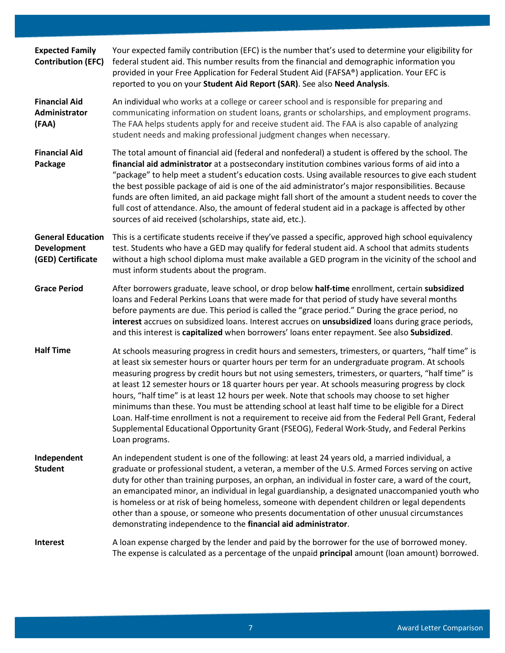| <b>Expected Family</b><br><b>Contribution (EFC)</b>                 | Your expected family contribution (EFC) is the number that's used to determine your eligibility for<br>federal student aid. This number results from the financial and demographic information you<br>provided in your Free Application for Federal Student Aid (FAFSA®) application. Your EFC is<br>reported to you on your Student Aid Report (SAR). See also Need Analysis.                                                                                                                                                                                                                                                                                                                                                                                                                                                               |
|---------------------------------------------------------------------|----------------------------------------------------------------------------------------------------------------------------------------------------------------------------------------------------------------------------------------------------------------------------------------------------------------------------------------------------------------------------------------------------------------------------------------------------------------------------------------------------------------------------------------------------------------------------------------------------------------------------------------------------------------------------------------------------------------------------------------------------------------------------------------------------------------------------------------------|
| <b>Financial Aid</b><br>Administrator<br>(FAA)                      | An individual who works at a college or career school and is responsible for preparing and<br>communicating information on student loans, grants or scholarships, and employment programs.<br>The FAA helps students apply for and receive student aid. The FAA is also capable of analyzing<br>student needs and making professional judgment changes when necessary.                                                                                                                                                                                                                                                                                                                                                                                                                                                                       |
| <b>Financial Aid</b><br>Package                                     | The total amount of financial aid (federal and nonfederal) a student is offered by the school. The<br>financial aid administrator at a postsecondary institution combines various forms of aid into a<br>"package" to help meet a student's education costs. Using available resources to give each student<br>the best possible package of aid is one of the aid administrator's major responsibilities. Because<br>funds are often limited, an aid package might fall short of the amount a student needs to cover the<br>full cost of attendance. Also, the amount of federal student aid in a package is affected by other<br>sources of aid received (scholarships, state aid, etc.).                                                                                                                                                   |
| <b>General Education</b><br><b>Development</b><br>(GED) Certificate | This is a certificate students receive if they've passed a specific, approved high school equivalency<br>test. Students who have a GED may qualify for federal student aid. A school that admits students<br>without a high school diploma must make available a GED program in the vicinity of the school and<br>must inform students about the program.                                                                                                                                                                                                                                                                                                                                                                                                                                                                                    |
| <b>Grace Period</b>                                                 | After borrowers graduate, leave school, or drop below half-time enrollment, certain subsidized<br>loans and Federal Perkins Loans that were made for that period of study have several months<br>before payments are due. This period is called the "grace period." During the grace period, no<br>interest accrues on subsidized loans. Interest accrues on unsubsidized loans during grace periods,<br>and this interest is capitalized when borrowers' loans enter repayment. See also Subsidized.                                                                                                                                                                                                                                                                                                                                        |
| <b>Half Time</b>                                                    | At schools measuring progress in credit hours and semesters, trimesters, or quarters, "half time" is<br>at least six semester hours or quarter hours per term for an undergraduate program. At schools<br>measuring progress by credit hours but not using semesters, trimesters, or quarters, "half time" is<br>at least 12 semester hours or 18 quarter hours per year. At schools measuring progress by clock<br>hours, "half time" is at least 12 hours per week. Note that schools may choose to set higher<br>minimums than these. You must be attending school at least half time to be eligible for a Direct<br>Loan. Half-time enrollment is not a requirement to receive aid from the Federal Pell Grant, Federal<br>Supplemental Educational Opportunity Grant (FSEOG), Federal Work-Study, and Federal Perkins<br>Loan programs. |
| Independent<br><b>Student</b>                                       | An independent student is one of the following: at least 24 years old, a married individual, a<br>graduate or professional student, a veteran, a member of the U.S. Armed Forces serving on active<br>duty for other than training purposes, an orphan, an individual in foster care, a ward of the court,<br>an emancipated minor, an individual in legal guardianship, a designated unaccompanied youth who<br>is homeless or at risk of being homeless, someone with dependent children or legal dependents<br>other than a spouse, or someone who presents documentation of other unusual circumstances<br>demonstrating independence to the financial aid administrator.                                                                                                                                                                |
| Interest                                                            | A loan expense charged by the lender and paid by the borrower for the use of borrowed money.<br>The expense is calculated as a percentage of the unpaid principal amount (loan amount) borrowed.                                                                                                                                                                                                                                                                                                                                                                                                                                                                                                                                                                                                                                             |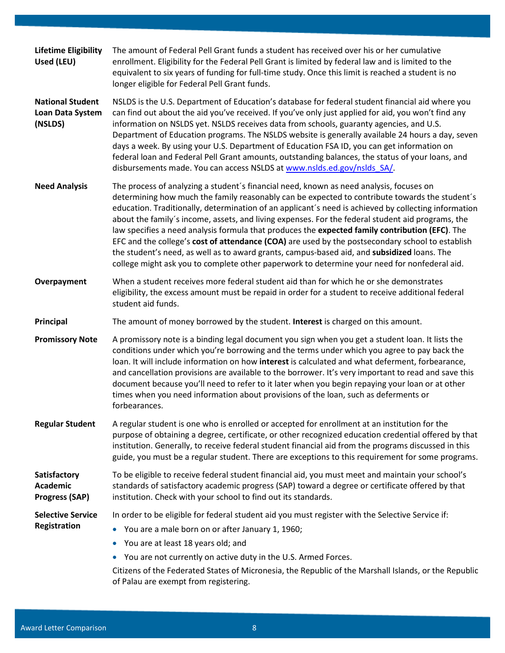| <b>Lifetime Eligibility</b><br>Used (LEU)                | The amount of Federal Pell Grant funds a student has received over his or her cumulative<br>enrollment. Eligibility for the Federal Pell Grant is limited by federal law and is limited to the<br>equivalent to six years of funding for full-time study. Once this limit is reached a student is no<br>longer eligible for Federal Pell Grant funds.                                                                                                                                                                                                                                                                                                                                                                                                                                                        |
|----------------------------------------------------------|--------------------------------------------------------------------------------------------------------------------------------------------------------------------------------------------------------------------------------------------------------------------------------------------------------------------------------------------------------------------------------------------------------------------------------------------------------------------------------------------------------------------------------------------------------------------------------------------------------------------------------------------------------------------------------------------------------------------------------------------------------------------------------------------------------------|
| <b>National Student</b><br>Loan Data System<br>(NSLDS)   | NSLDS is the U.S. Department of Education's database for federal student financial aid where you<br>can find out about the aid you've received. If you've only just applied for aid, you won't find any<br>information on NSLDS yet. NSLDS receives data from schools, guaranty agencies, and U.S.<br>Department of Education programs. The NSLDS website is generally available 24 hours a day, seven<br>days a week. By using your U.S. Department of Education FSA ID, you can get information on<br>federal loan and Federal Pell Grant amounts, outstanding balances, the status of your loans, and<br>disbursements made. You can access NSLDS at www.nslds.ed.gov/nslds SA/.                                                                                                                          |
| <b>Need Analysis</b>                                     | The process of analyzing a student's financial need, known as need analysis, focuses on<br>determining how much the family reasonably can be expected to contribute towards the student's<br>education. Traditionally, determination of an applicant's need is achieved by collecting information<br>about the family's income, assets, and living expenses. For the federal student aid programs, the<br>law specifies a need analysis formula that produces the expected family contribution (EFC). The<br>EFC and the college's cost of attendance (COA) are used by the postsecondary school to establish<br>the student's need, as well as to award grants, campus-based aid, and subsidized loans. The<br>college might ask you to complete other paperwork to determine your need for nonfederal aid. |
| Overpayment                                              | When a student receives more federal student aid than for which he or she demonstrates<br>eligibility, the excess amount must be repaid in order for a student to receive additional federal<br>student aid funds.                                                                                                                                                                                                                                                                                                                                                                                                                                                                                                                                                                                           |
| Principal                                                | The amount of money borrowed by the student. Interest is charged on this amount.                                                                                                                                                                                                                                                                                                                                                                                                                                                                                                                                                                                                                                                                                                                             |
| <b>Promissory Note</b>                                   | A promissory note is a binding legal document you sign when you get a student loan. It lists the<br>conditions under which you're borrowing and the terms under which you agree to pay back the<br>loan. It will include information on how interest is calculated and what deferment, forbearance,<br>and cancellation provisions are available to the borrower. It's very important to read and save this<br>document because you'll need to refer to it later when you begin repaying your loan or at other<br>times when you need information about provisions of the loan, such as deferments or<br>forbearances.                                                                                                                                                                                       |
| <b>Regular Student</b>                                   | A regular student is one who is enrolled or accepted for enrollment at an institution for the<br>purpose of obtaining a degree, certificate, or other recognized education credential offered by that<br>institution. Generally, to receive federal student financial aid from the programs discussed in this<br>guide, you must be a regular student. There are exceptions to this requirement for some programs.                                                                                                                                                                                                                                                                                                                                                                                           |
| Satisfactory<br><b>Academic</b><br><b>Progress (SAP)</b> | To be eligible to receive federal student financial aid, you must meet and maintain your school's<br>standards of satisfactory academic progress (SAP) toward a degree or certificate offered by that<br>institution. Check with your school to find out its standards.                                                                                                                                                                                                                                                                                                                                                                                                                                                                                                                                      |
| <b>Selective Service</b><br>Registration                 | In order to be eligible for federal student aid you must register with the Selective Service if:<br>You are a male born on or after January 1, 1960;<br>$\bullet$<br>You are at least 18 years old; and<br>$\bullet$<br>You are not currently on active duty in the U.S. Armed Forces.<br>Citizens of the Federated States of Micronesia, the Republic of the Marshall Islands, or the Republic<br>of Palau are exempt from registering.                                                                                                                                                                                                                                                                                                                                                                     |